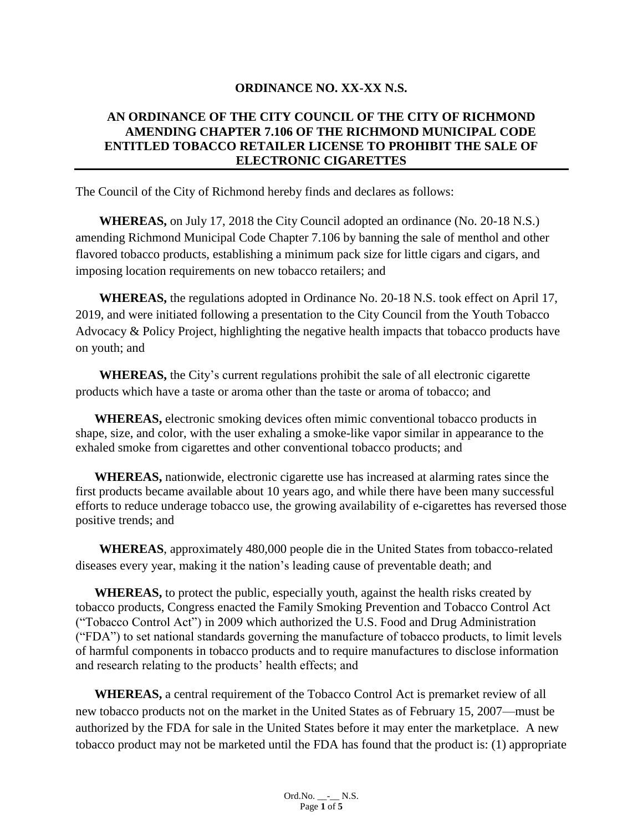### **ORDINANCE NO. XX-XX N.S.**

### **AN ORDINANCE OF THE CITY COUNCIL OF THE CITY OF RICHMOND AMENDING CHAPTER 7.106 OF THE RICHMOND MUNICIPAL CODE ENTITLED TOBACCO RETAILER LICENSE TO PROHIBIT THE SALE OF ELECTRONIC CIGARETTES**

The Council of the City of Richmond hereby finds and declares as follows:

**WHEREAS,** on July 17, 2018 the City Council adopted an ordinance (No. 20-18 N.S.) amending Richmond Municipal Code Chapter 7.106 by banning the sale of menthol and other flavored tobacco products, establishing a minimum pack size for little cigars and cigars, and imposing location requirements on new tobacco retailers; and

**WHEREAS,** the regulations adopted in Ordinance No. 20-18 N.S. took effect on April 17, 2019, and were initiated following a presentation to the City Council from the Youth Tobacco Advocacy & Policy Project, highlighting the negative health impacts that tobacco products have on youth; and

**WHEREAS,** the City's current regulations prohibit the sale of all electronic cigarette products which have a taste or aroma other than the taste or aroma of tobacco; and

**WHEREAS,** electronic smoking devices often mimic conventional tobacco products in shape, size, and color, with the user exhaling a smoke-like vapor similar in appearance to the exhaled smoke from cigarettes and other conventional tobacco products; and

**WHEREAS,** nationwide, electronic cigarette use has increased at alarming rates since the first products became available about 10 years ago, and while there have been many successful efforts to reduce underage tobacco use, the growing availability of e-cigarettes has reversed those positive trends; and

**WHEREAS**, approximately 480,000 people die in the United States from tobacco-related diseases every year, making it the nation's leading cause of preventable death; and

**WHEREAS,** to protect the public, especially youth, against the health risks created by tobacco products, Congress enacted the Family Smoking Prevention and Tobacco Control Act ("Tobacco Control Act") in 2009 which authorized the U.S. Food and Drug Administration ("FDA") to set national standards governing the manufacture of tobacco products, to limit levels of harmful components in tobacco products and to require manufactures to disclose information and research relating to the products' health effects; and

 **WHEREAS,** a central requirement of the Tobacco Control Act is premarket review of all new tobacco products not on the market in the United States as of February 15, 2007—must be authorized by the FDA for sale in the United States before it may enter the marketplace. A new tobacco product may not be marketed until the FDA has found that the product is: (1) appropriate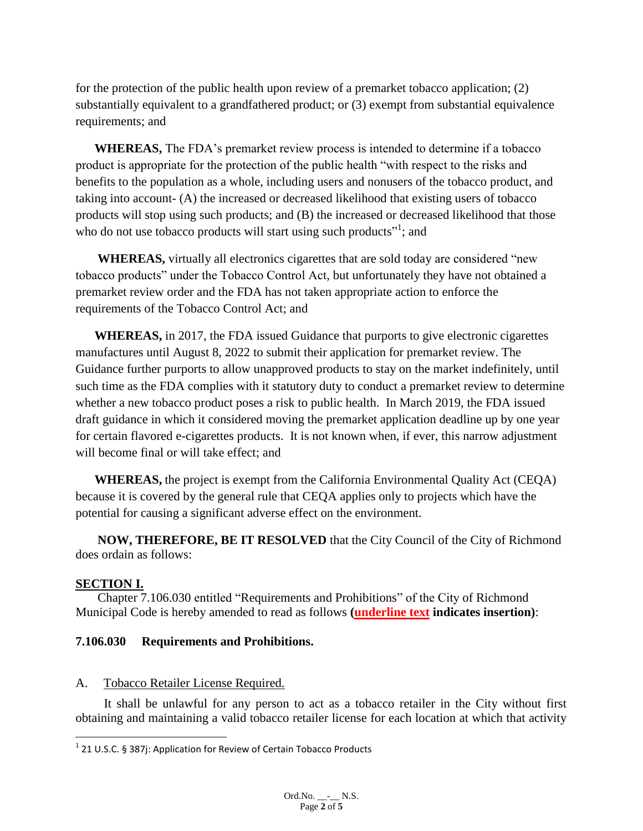for the protection of the public health upon review of a premarket tobacco application; (2) substantially equivalent to a grandfathered product; or (3) exempt from substantial equivalence requirements; and

**WHEREAS,** The FDA's premarket review process is intended to determine if a tobacco product is appropriate for the protection of the public health "with respect to the risks and benefits to the population as a whole, including users and nonusers of the tobacco product, and taking into account- (A) the increased or decreased likelihood that existing users of tobacco products will stop using such products; and (B) the increased or decreased likelihood that those who do not use tobacco products will start using such products"<sup>1</sup>; and

 **WHEREAS,** virtually all electronics cigarettes that are sold today are considered "new tobacco products" under the Tobacco Control Act, but unfortunately they have not obtained a premarket review order and the FDA has not taken appropriate action to enforce the requirements of the Tobacco Control Act; and

**WHEREAS,** in 2017, the FDA issued Guidance that purports to give electronic cigarettes manufactures until August 8, 2022 to submit their application for premarket review. The Guidance further purports to allow unapproved products to stay on the market indefinitely, until such time as the FDA complies with it statutory duty to conduct a premarket review to determine whether a new tobacco product poses a risk to public health. In March 2019, the FDA issued draft guidance in which it considered moving the premarket application deadline up by one year for certain flavored e-cigarettes products. It is not known when, if ever, this narrow adjustment will become final or will take effect; and

**WHEREAS,** the project is exempt from the California Environmental Quality Act (CEQA) because it is covered by the general rule that CEQA applies only to projects which have the potential for causing a significant adverse effect on the environment.

**NOW, THEREFORE, BE IT RESOLVED** that the City Council of the City of Richmond does ordain as follows:

## **SECTION I.**

 $\overline{\phantom{a}}$ 

 Chapter 7.106.030 entitled "Requirements and Prohibitions" of the City of Richmond Municipal Code is hereby amended to read as follows **(underline text indicates insertion)**:

## **7.106.030 Requirements and Prohibitions.**

## A. Tobacco Retailer License Required.

It shall be unlawful for any person to act as a tobacco retailer in the City without first obtaining and maintaining a valid tobacco retailer license for each location at which that activity

 $1$  21 U.S.C. § 387j: Application for Review of Certain Tobacco Products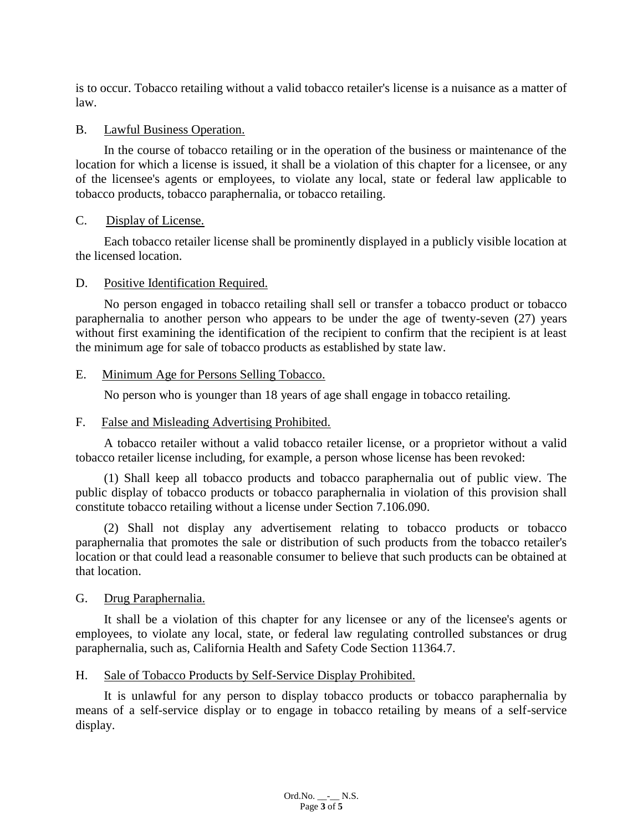is to occur. Tobacco retailing without a valid tobacco retailer's license is a nuisance as a matter of law.

#### B. Lawful Business Operation.

In the course of tobacco retailing or in the operation of the business or maintenance of the location for which a license is issued, it shall be a violation of this chapter for a licensee, or any of the licensee's agents or employees, to violate any local, state or federal law applicable to tobacco products, tobacco paraphernalia, or tobacco retailing.

#### C. Display of License.

Each tobacco retailer license shall be prominently displayed in a publicly visible location at the licensed location.

#### D. Positive Identification Required.

No person engaged in tobacco retailing shall sell or transfer a tobacco product or tobacco paraphernalia to another person who appears to be under the age of twenty-seven (27) years without first examining the identification of the recipient to confirm that the recipient is at least the minimum age for sale of tobacco products as established by state law.

#### E. Minimum Age for Persons Selling Tobacco.

No person who is younger than 18 years of age shall engage in tobacco retailing.

### F. False and Misleading Advertising Prohibited.

A tobacco retailer without a valid tobacco retailer license, or a proprietor without a valid tobacco retailer license including, for example, a person whose license has been revoked:

(1) Shall keep all tobacco products and tobacco paraphernalia out of public view. The public display of tobacco products or tobacco paraphernalia in violation of this provision shall constitute tobacco retailing without a license under Section 7.106.090.

(2) Shall not display any advertisement relating to tobacco products or tobacco paraphernalia that promotes the sale or distribution of such products from the tobacco retailer's location or that could lead a reasonable consumer to believe that such products can be obtained at that location.

#### G. Drug Paraphernalia.

It shall be a violation of this chapter for any licensee or any of the licensee's agents or employees, to violate any local, state, or federal law regulating controlled substances or drug paraphernalia, such as, California Health and Safety Code Section 11364.7.

## H. Sale of Tobacco Products by Self-Service Display Prohibited.

It is unlawful for any person to display tobacco products or tobacco paraphernalia by means of a self-service display or to engage in tobacco retailing by means of a self-service display.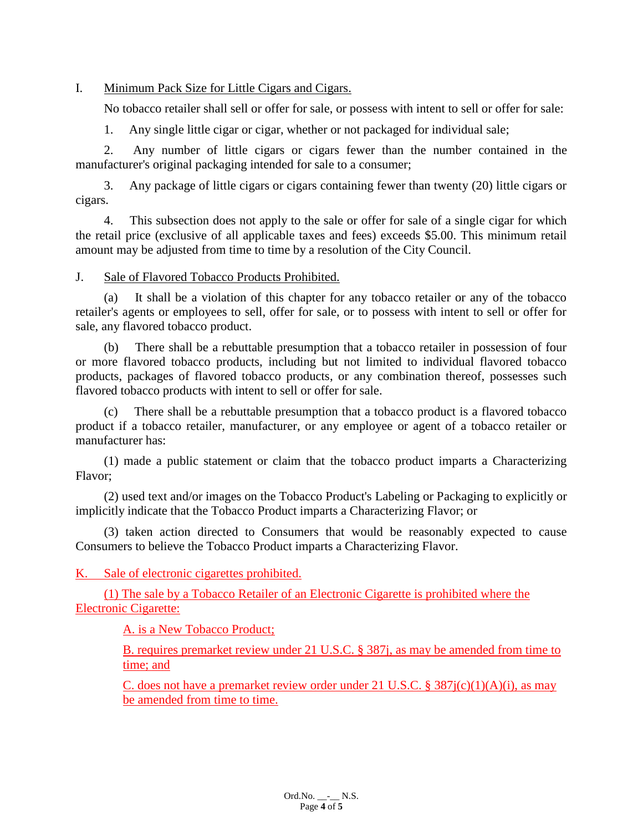### I. Minimum Pack Size for Little Cigars and Cigars.

No tobacco retailer shall sell or offer for sale, or possess with intent to sell or offer for sale:

1. Any single little cigar or cigar, whether or not packaged for individual sale;

2. Any number of little cigars or cigars fewer than the number contained in the manufacturer's original packaging intended for sale to a consumer;

3. Any package of little cigars or cigars containing fewer than twenty (20) little cigars or cigars.

4. This subsection does not apply to the sale or offer for sale of a single cigar for which the retail price (exclusive of all applicable taxes and fees) exceeds \$5.00. This minimum retail amount may be adjusted from time to time by a resolution of the City Council.

#### J. Sale of Flavored Tobacco Products Prohibited.

(a) It shall be a violation of this chapter for any tobacco retailer or any of the tobacco retailer's agents or employees to sell, offer for sale, or to possess with intent to sell or offer for sale, any flavored tobacco product.

(b) There shall be a rebuttable presumption that a tobacco retailer in possession of four or more flavored tobacco products, including but not limited to individual flavored tobacco products, packages of flavored tobacco products, or any combination thereof, possesses such flavored tobacco products with intent to sell or offer for sale.

There shall be a rebuttable presumption that a tobacco product is a flavored tobacco product if a tobacco retailer, manufacturer, or any employee or agent of a tobacco retailer or manufacturer has:

(1) made a public statement or claim that the tobacco product imparts a Characterizing Flavor;

(2) used text and/or images on the Tobacco Product's Labeling or Packaging to explicitly or implicitly indicate that the Tobacco Product imparts a Characterizing Flavor; or

(3) taken action directed to Consumers that would be reasonably expected to cause Consumers to believe the Tobacco Product imparts a Characterizing Flavor.

K. Sale of electronic cigarettes prohibited.

(1) The sale by a Tobacco Retailer of an Electronic Cigarette is prohibited where the Electronic Cigarette:

A. is a New Tobacco Product;

B. requires premarket review under 21 U.S.C. § 387j, as may be amended from time to time; and

C. does not have a premarket review order under 21 U.S.C. §  $387j(c)(1)(A)(i)$ , as may be amended from time to time.